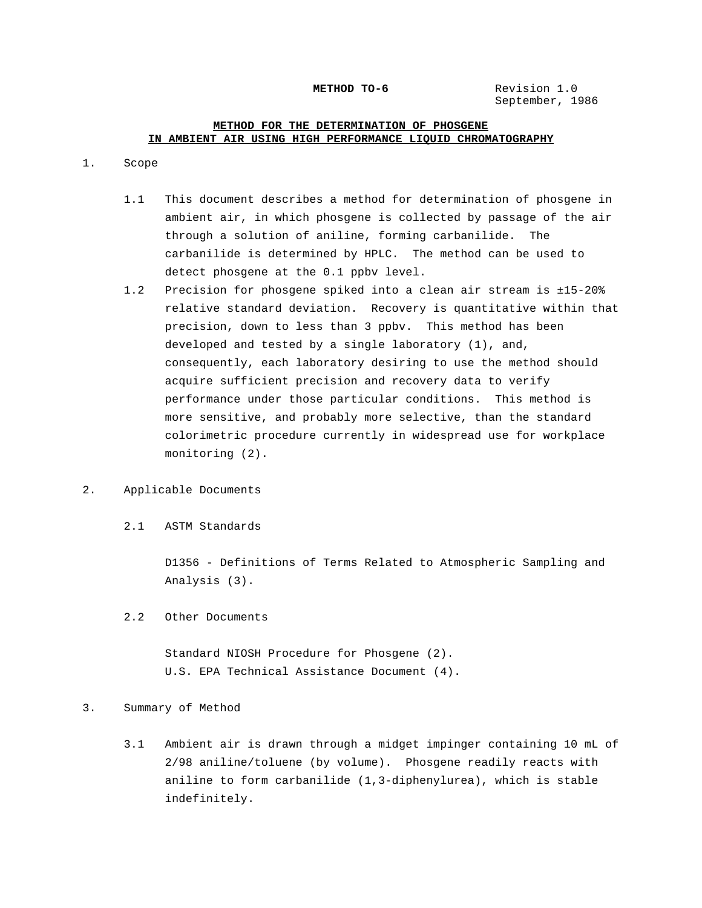#### **METHOD TO-6** Revision 1.0

September, 1986

# **METHOD FOR THE DETERMINATION OF PHOSGENE IN AMBIENT AIR USING HIGH PERFORMANCE LIQUID CHROMATOGRAPHY**

### 1. Scope

- 1.1 This document describes a method for determination of phosgene in ambient air, in which phosgene is collected by passage of the air through a solution of aniline, forming carbanilide. The carbanilide is determined by HPLC. The method can be used to detect phosgene at the 0.1 ppbv level.
- 1.2 Precision for phosgene spiked into a clean air stream is ±15-20% relative standard deviation. Recovery is quantitative within that precision, down to less than 3 ppbv. This method has been developed and tested by a single laboratory (1), and, consequently, each laboratory desiring to use the method should acquire sufficient precision and recovery data to verify performance under those particular conditions. This method is more sensitive, and probably more selective, than the standard colorimetric procedure currently in widespread use for workplace monitoring (2).

# 2. Applicable Documents

2.1 ASTM Standards

D1356 - Definitions of Terms Related to Atmospheric Sampling and Analysis (3).

2.2 Other Documents

Standard NIOSH Procedure for Phosgene (2). U.S. EPA Technical Assistance Document (4).

### 3. Summary of Method

3.1 Ambient air is drawn through a midget impinger containing 10 mL of 2/98 aniline/toluene (by volume). Phosgene readily reacts with aniline to form carbanilide (1,3-diphenylurea), which is stable indefinitely.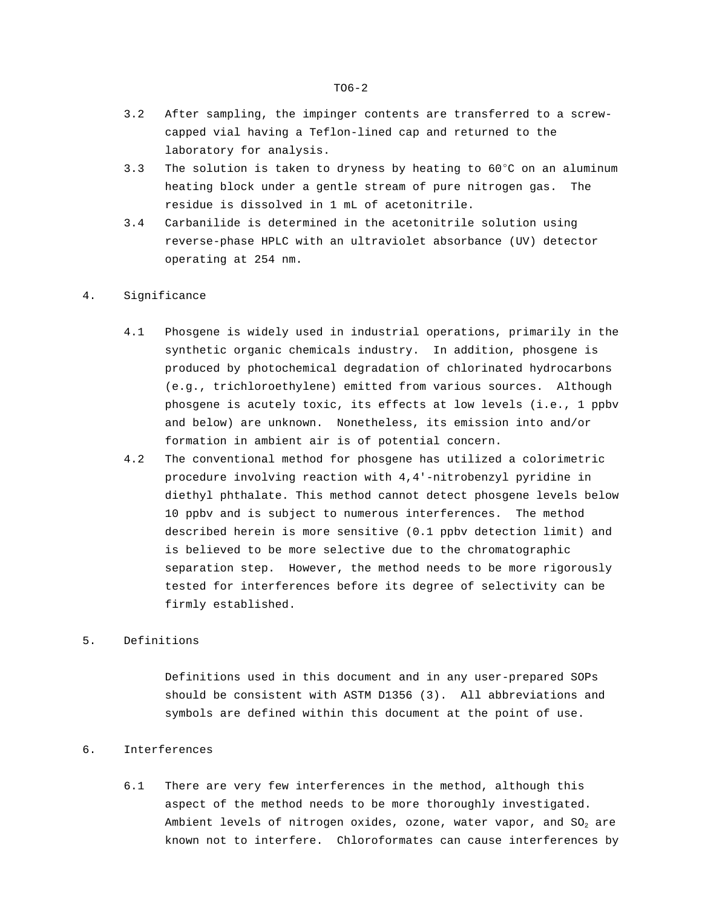- 3.2 After sampling, the impinger contents are transferred to a screwcapped vial having a Teflon-lined cap and returned to the laboratory for analysis.
- 3.3 The solution is taken to dryness by heating to  $60^{\circ}$ C on an aluminum heating block under a gentle stream of pure nitrogen gas. The residue is dissolved in 1 mL of acetonitrile.
- 3.4 Carbanilide is determined in the acetonitrile solution using reverse-phase HPLC with an ultraviolet absorbance (UV) detector operating at 254 nm.

#### 4. Significance

- 4.1 Phosgene is widely used in industrial operations, primarily in the synthetic organic chemicals industry. In addition, phosgene is produced by photochemical degradation of chlorinated hydrocarbons (e.g., trichloroethylene) emitted from various sources. Although phosgene is acutely toxic, its effects at low levels (i.e., 1 ppbv and below) are unknown. Nonetheless, its emission into and/or formation in ambient air is of potential concern.
- 4.2 The conventional method for phosgene has utilized a colorimetric procedure involving reaction with 4,4'-nitrobenzyl pyridine in diethyl phthalate. This method cannot detect phosgene levels below 10 ppbv and is subject to numerous interferences. The method described herein is more sensitive (0.1 ppbv detection limit) and is believed to be more selective due to the chromatographic separation step. However, the method needs to be more rigorously tested for interferences before its degree of selectivity can be firmly established.

# 5. Definitions

Definitions used in this document and in any user-prepared SOPs should be consistent with ASTM D1356 (3). All abbreviations and symbols are defined within this document at the point of use.

# 6. Interferences

6.1 There are very few interferences in the method, although this aspect of the method needs to be more thoroughly investigated. Ambient levels of nitrogen oxides, ozone, water vapor, and SO<sub>2</sub> are known not to interfere. Chloroformates can cause interferences by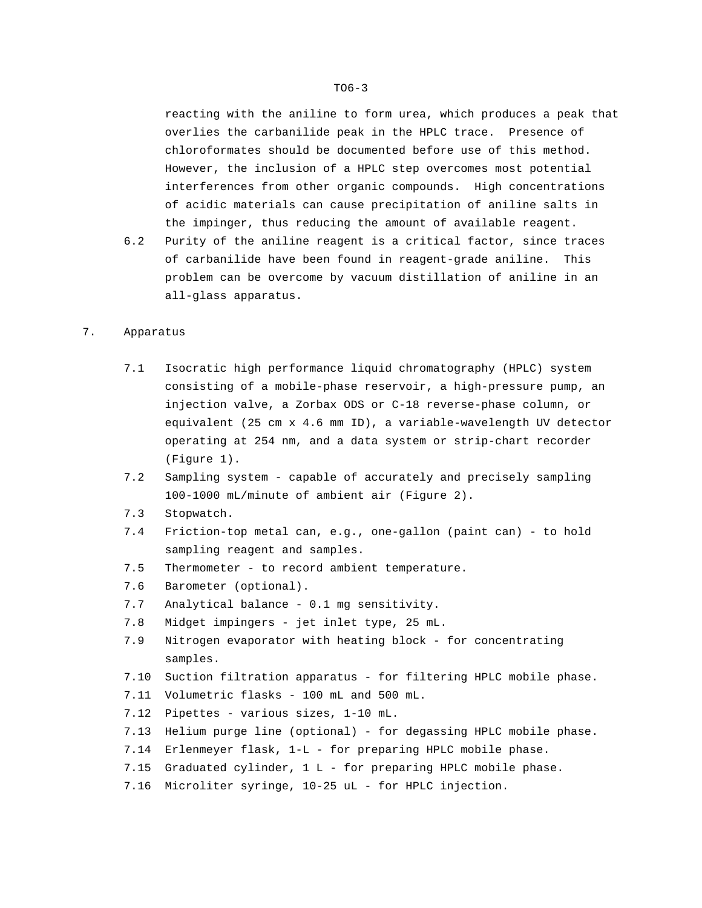reacting with the aniline to form urea, which produces a peak that overlies the carbanilide peak in the HPLC trace. Presence of chloroformates should be documented before use of this method. However, the inclusion of a HPLC step overcomes most potential interferences from other organic compounds. High concentrations of acidic materials can cause precipitation of aniline salts in the impinger, thus reducing the amount of available reagent.

6.2 Purity of the aniline reagent is a critical factor, since traces of carbanilide have been found in reagent-grade aniline. This problem can be overcome by vacuum distillation of aniline in an all-glass apparatus.

## 7. Apparatus

- 7.1 Isocratic high performance liquid chromatography (HPLC) system consisting of a mobile-phase reservoir, a high-pressure pump, an injection valve, a Zorbax ODS or C-18 reverse-phase column, or equivalent (25 cm x 4.6 mm ID), a variable-wavelength UV detector operating at 254 nm, and a data system or strip-chart recorder (Figure 1).
- 7.2 Sampling system capable of accurately and precisely sampling 100-1000 mL/minute of ambient air (Figure 2).
- 7.3 Stopwatch.
- 7.4 Friction-top metal can, e.g., one-gallon (paint can) to hold sampling reagent and samples.
- 7.5 Thermometer to record ambient temperature.
- 7.6 Barometer (optional).
- 7.7 Analytical balance 0.1 mg sensitivity.
- 7.8 Midget impingers jet inlet type, 25 mL.
- 7.9 Nitrogen evaporator with heating block for concentrating samples.
- 7.10 Suction filtration apparatus for filtering HPLC mobile phase.
- 7.11 Volumetric flasks 100 mL and 500 mL.
- 7.12 Pipettes various sizes, 1-10 mL.
- 7.13 Helium purge line (optional) for degassing HPLC mobile phase.
- 7.14 Erlenmeyer flask, 1-L for preparing HPLC mobile phase.
- 7.15 Graduated cylinder, 1 L for preparing HPLC mobile phase.
- 7.16 Microliter syringe, 10-25 uL for HPLC injection.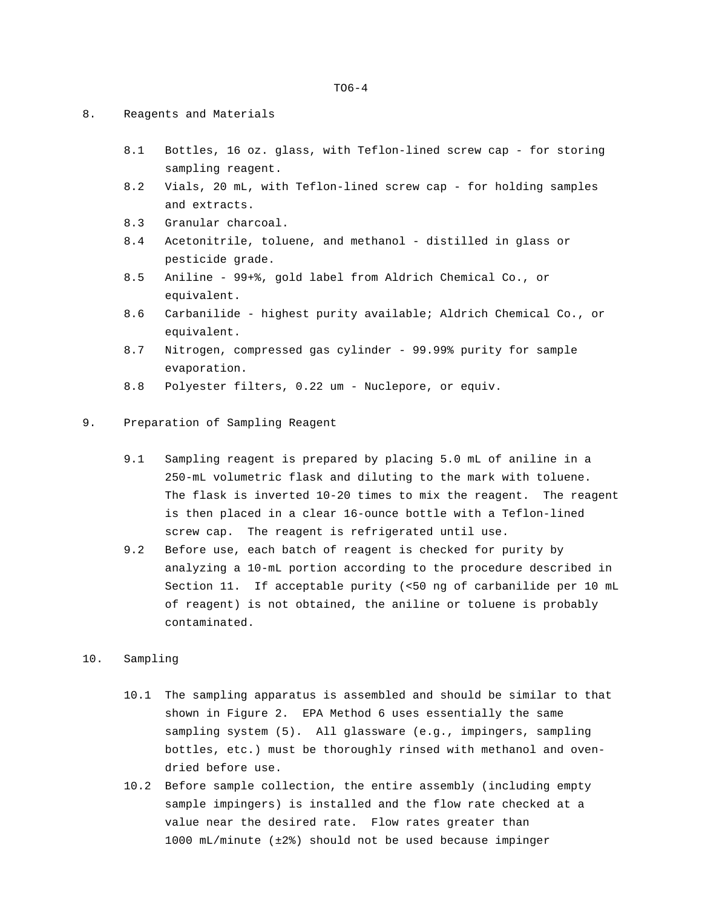- 8. Reagents and Materials
	- 8.1 Bottles, 16 oz. glass, with Teflon-lined screw cap for storing sampling reagent.
	- 8.2 Vials, 20 mL, with Teflon-lined screw cap for holding samples and extracts.
	- 8.3 Granular charcoal.
	- 8.4 Acetonitrile, toluene, and methanol distilled in glass or pesticide grade.
	- 8.5 Aniline 99+%, gold label from Aldrich Chemical Co., or equivalent.
	- 8.6 Carbanilide highest purity available; Aldrich Chemical Co., or equivalent.
	- 8.7 Nitrogen, compressed gas cylinder 99.99% purity for sample evaporation.
	- 8.8 Polyester filters, 0.22 um Nuclepore, or equiv.
- 9. Preparation of Sampling Reagent
	- 9.1 Sampling reagent is prepared by placing 5.0 mL of aniline in a 250-mL volumetric flask and diluting to the mark with toluene. The flask is inverted 10-20 times to mix the reagent. The reagent is then placed in a clear 16-ounce bottle with a Teflon-lined screw cap. The reagent is refrigerated until use.
	- 9.2 Before use, each batch of reagent is checked for purity by analyzing a 10-mL portion according to the procedure described in Section 11. If acceptable purity (<50 ng of carbanilide per 10 mL of reagent) is not obtained, the aniline or toluene is probably contaminated.
- 10. Sampling
	- 10.1 The sampling apparatus is assembled and should be similar to that shown in Figure 2. EPA Method 6 uses essentially the same sampling system (5). All glassware (e.g., impingers, sampling bottles, etc.) must be thoroughly rinsed with methanol and ovendried before use.
	- 10.2 Before sample collection, the entire assembly (including empty sample impingers) is installed and the flow rate checked at a value near the desired rate. Flow rates greater than 1000 mL/minute (±2%) should not be used because impinger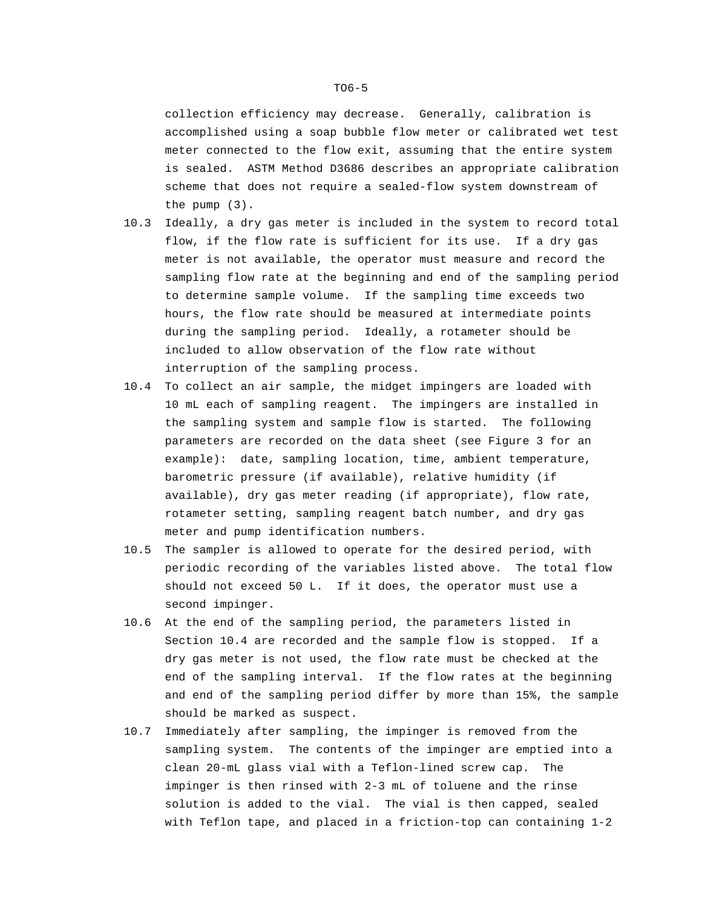collection efficiency may decrease. Generally, calibration is accomplished using a soap bubble flow meter or calibrated wet test meter connected to the flow exit, assuming that the entire system is sealed. ASTM Method D3686 describes an appropriate calibration scheme that does not require a sealed-flow system downstream of the pump (3).

- 10.3 Ideally, a dry gas meter is included in the system to record total flow, if the flow rate is sufficient for its use. If a dry gas meter is not available, the operator must measure and record the sampling flow rate at the beginning and end of the sampling period to determine sample volume. If the sampling time exceeds two hours, the flow rate should be measured at intermediate points during the sampling period. Ideally, a rotameter should be included to allow observation of the flow rate without interruption of the sampling process.
- 10.4 To collect an air sample, the midget impingers are loaded with 10 mL each of sampling reagent. The impingers are installed in the sampling system and sample flow is started. The following parameters are recorded on the data sheet (see Figure 3 for an example): date, sampling location, time, ambient temperature, barometric pressure (if available), relative humidity (if available), dry gas meter reading (if appropriate), flow rate, rotameter setting, sampling reagent batch number, and dry gas meter and pump identification numbers.
- 10.5 The sampler is allowed to operate for the desired period, with periodic recording of the variables listed above. The total flow should not exceed 50 L. If it does, the operator must use a second impinger.
- 10.6 At the end of the sampling period, the parameters listed in Section 10.4 are recorded and the sample flow is stopped. If a dry gas meter is not used, the flow rate must be checked at the end of the sampling interval. If the flow rates at the beginning and end of the sampling period differ by more than 15%, the sample should be marked as suspect.
- 10.7 Immediately after sampling, the impinger is removed from the sampling system. The contents of the impinger are emptied into a clean 20-mL glass vial with a Teflon-lined screw cap. The impinger is then rinsed with 2-3 mL of toluene and the rinse solution is added to the vial. The vial is then capped, sealed with Teflon tape, and placed in a friction-top can containing 1-2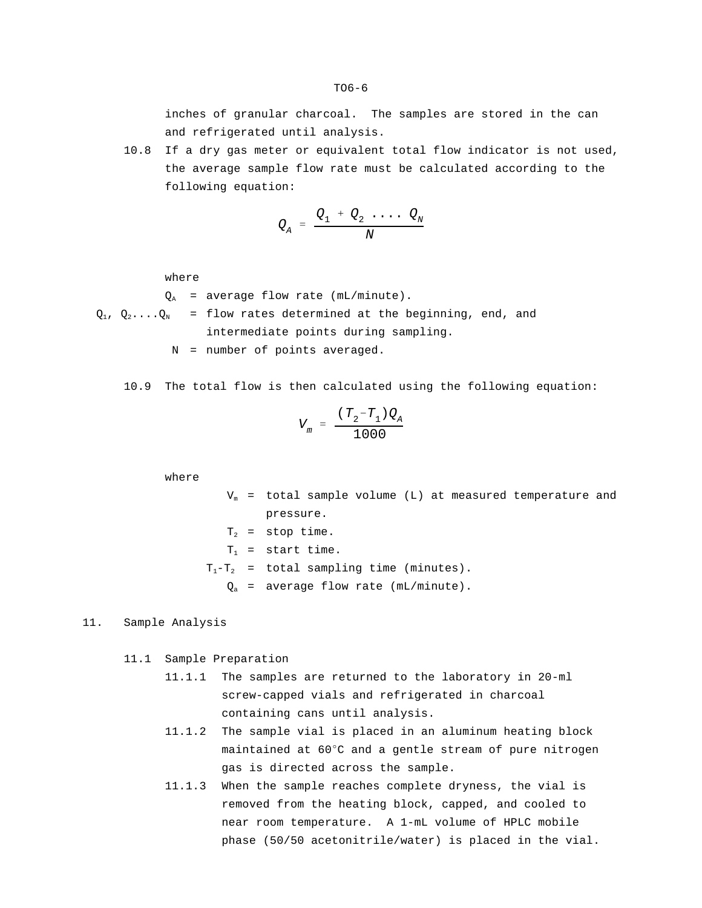inches of granular charcoal. The samples are stored in the can and refrigerated until analysis.

10.8 If a dry gas meter or equivalent total flow indicator is not used, the average sample flow rate must be calculated according to the following equation:

$$
Q_A = \frac{Q_1 + Q_2 \cdot \ldots \cdot Q_N}{N}
$$

where

 $Q_A$  = average flow rate (mL/minute).

 $Q_1$ ,  $Q_2$ .... $Q_N$  = flow rates determined at the beginning, end, and intermediate points during sampling.

N = number of points averaged.

10.9 The total flow is then calculated using the following equation:

$$
V_m = \frac{(T_2 - T_1)Q_A}{1000}
$$

where

 $V_m$  = total sample volume (L) at measured temperature and pressure.

$$
T_2
$$
 = stop time.  
\n $T_1$  = start time.  
\n $T_1-T_2$  = total sampling time (minutes).  
\n $Q_a$  = average flow rate (mL/minute).

## 11. Sample Analysis

11.1 Sample Preparation

- 11.1.1 The samples are returned to the laboratory in 20-ml screw-capped vials and refrigerated in charcoal containing cans until analysis.
- 11.1.2 The sample vial is placed in an aluminum heating block maintained at 60°C and a gentle stream of pure nitrogen gas is directed across the sample.
- 11.1.3 When the sample reaches complete dryness, the vial is removed from the heating block, capped, and cooled to near room temperature. A 1-mL volume of HPLC mobile phase (50/50 acetonitrile/water) is placed in the vial.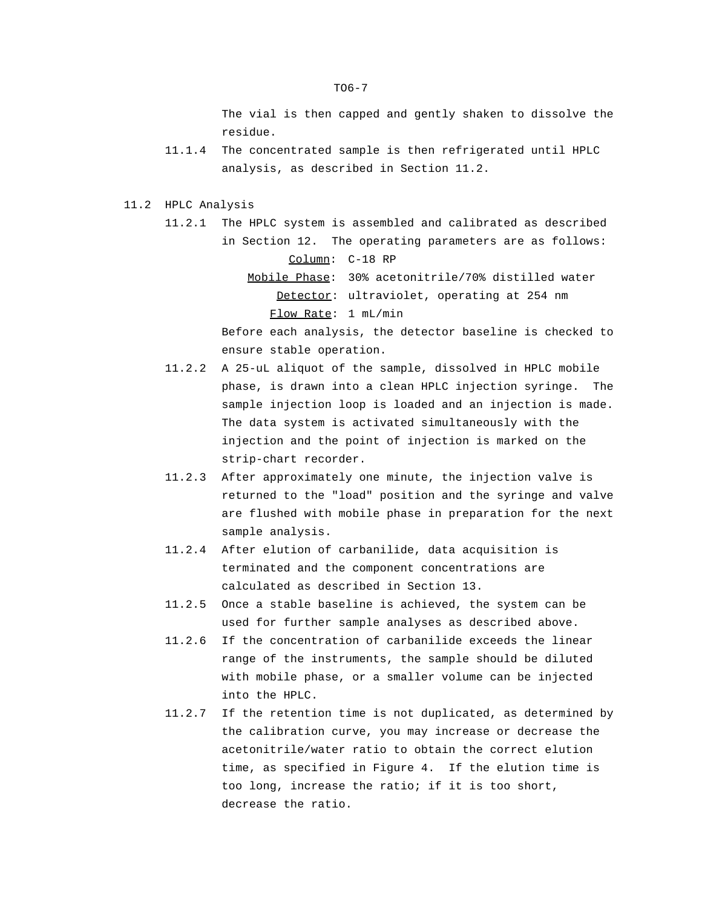The vial is then capped and gently shaken to dissolve the residue.

- 11.1.4 The concentrated sample is then refrigerated until HPLC analysis, as described in Section 11.2.
- 11.2 HPLC Analysis
	- 11.2.1 The HPLC system is assembled and calibrated as described in Section 12. The operating parameters are as follows: Column: C-18 RP
		- Mobile Phase: 30% acetonitrile/70% distilled water Detector: ultraviolet, operating at 254 nm Flow Rate: 1 mL/min

Before each analysis, the detector baseline is checked to ensure stable operation.

- 11.2.2 A 25-uL aliquot of the sample, dissolved in HPLC mobile phase, is drawn into a clean HPLC injection syringe. The sample injection loop is loaded and an injection is made. The data system is activated simultaneously with the injection and the point of injection is marked on the strip-chart recorder.
- 11.2.3 After approximately one minute, the injection valve is returned to the "load" position and the syringe and valve are flushed with mobile phase in preparation for the next sample analysis.
- 11.2.4 After elution of carbanilide, data acquisition is terminated and the component concentrations are calculated as described in Section 13.
- 11.2.5 Once a stable baseline is achieved, the system can be used for further sample analyses as described above.
- 11.2.6 If the concentration of carbanilide exceeds the linear range of the instruments, the sample should be diluted with mobile phase, or a smaller volume can be injected into the HPLC.
- 11.2.7 If the retention time is not duplicated, as determined by the calibration curve, you may increase or decrease the acetonitrile/water ratio to obtain the correct elution time, as specified in Figure 4. If the elution time is too long, increase the ratio; if it is too short, decrease the ratio.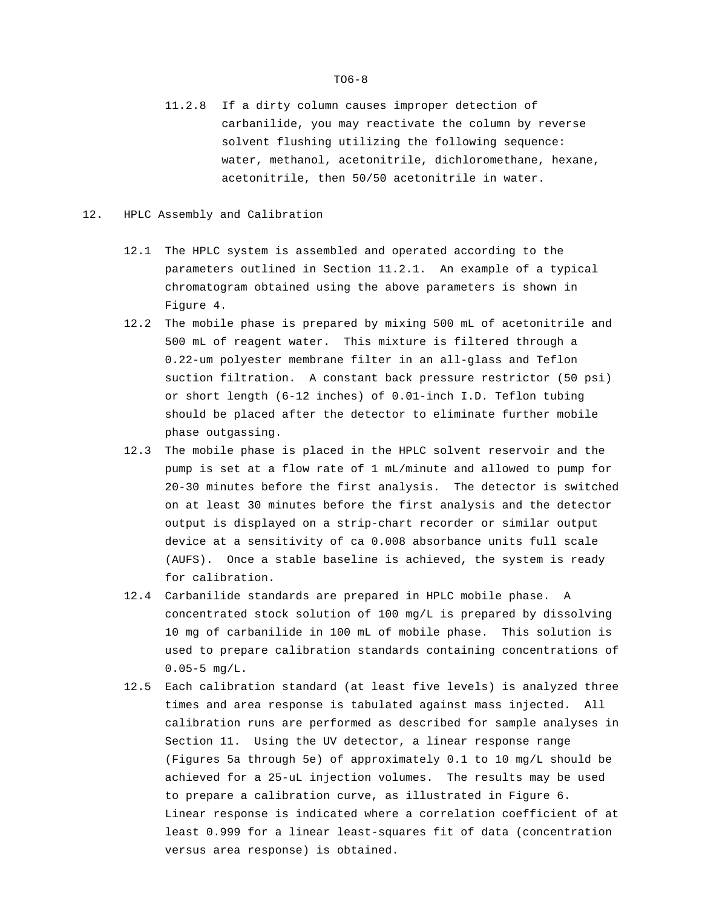11.2.8 If a dirty column causes improper detection of carbanilide, you may reactivate the column by reverse solvent flushing utilizing the following sequence: water, methanol, acetonitrile, dichloromethane, hexane, acetonitrile, then 50/50 acetonitrile in water.

## 12. HPLC Assembly and Calibration

- 12.1 The HPLC system is assembled and operated according to the parameters outlined in Section 11.2.1. An example of a typical chromatogram obtained using the above parameters is shown in Figure 4.
- 12.2 The mobile phase is prepared by mixing 500 mL of acetonitrile and 500 mL of reagent water. This mixture is filtered through a 0.22-um polyester membrane filter in an all-glass and Teflon suction filtration. A constant back pressure restrictor (50 psi) or short length (6-12 inches) of 0.01-inch I.D. Teflon tubing should be placed after the detector to eliminate further mobile phase outgassing.
- 12.3 The mobile phase is placed in the HPLC solvent reservoir and the pump is set at a flow rate of 1 mL/minute and allowed to pump for 20-30 minutes before the first analysis. The detector is switched on at least 30 minutes before the first analysis and the detector output is displayed on a strip-chart recorder or similar output device at a sensitivity of ca 0.008 absorbance units full scale (AUFS). Once a stable baseline is achieved, the system is ready for calibration.
- 12.4 Carbanilide standards are prepared in HPLC mobile phase. A concentrated stock solution of 100 mg/L is prepared by dissolving 10 mg of carbanilide in 100 mL of mobile phase. This solution is used to prepare calibration standards containing concentrations of  $0.05-5$  mg/L.
- 12.5 Each calibration standard (at least five levels) is analyzed three times and area response is tabulated against mass injected. All calibration runs are performed as described for sample analyses in Section 11. Using the UV detector, a linear response range (Figures 5a through 5e) of approximately 0.1 to 10 mg/L should be achieved for a 25-uL injection volumes. The results may be used to prepare a calibration curve, as illustrated in Figure 6. Linear response is indicated where a correlation coefficient of at least 0.999 for a linear least-squares fit of data (concentration versus area response) is obtained.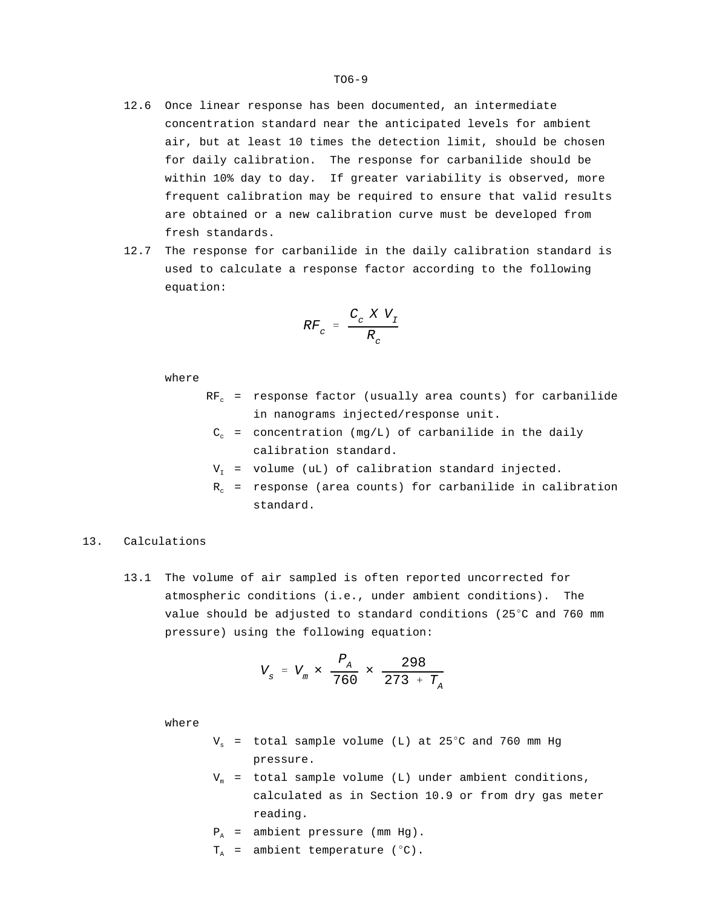- 12.6 Once linear response has been documented, an intermediate concentration standard near the anticipated levels for ambient air, but at least 10 times the detection limit, should be chosen for daily calibration. The response for carbanilide should be within 10% day to day. If greater variability is observed, more frequent calibration may be required to ensure that valid results are obtained or a new calibration curve must be developed from fresh standards.
- 12.7 The response for carbanilide in the daily calibration standard is used to calculate a response factor according to the following equation:

$$
RF_c = \frac{C_c X V_I}{R_c}
$$

where

- $RF_c$  = response factor (usually area counts) for carbanilide in nanograms injected/response unit.
- $C_c$  = concentration (mg/L) of carbanilide in the daily calibration standard.
- $V<sub>r</sub>$  = volume (uL) of calibration standard injected.
- $R_c$  = response (area counts) for carbanilide in calibration standard.

# 13. Calculations

13.1 The volume of air sampled is often reported uncorrected for atmospheric conditions (i.e., under ambient conditions). The value should be adjusted to standard conditions (25°C and 760 mm pressure) using the following equation:

$$
V_{s} = V_{m} \times \frac{P_{A}}{760} \times \frac{298}{273 + T_{A}}
$$

where

- $V_s$  = total sample volume (L) at 25°C and 760 mm Hg pressure.
- $V_m$  = total sample volume (L) under ambient conditions, calculated as in Section 10.9 or from dry gas meter reading.
- $P_A$  = ambient pressure (mm Hg).
- $T_A$  = ambient temperature ( $^{\circ}$ C).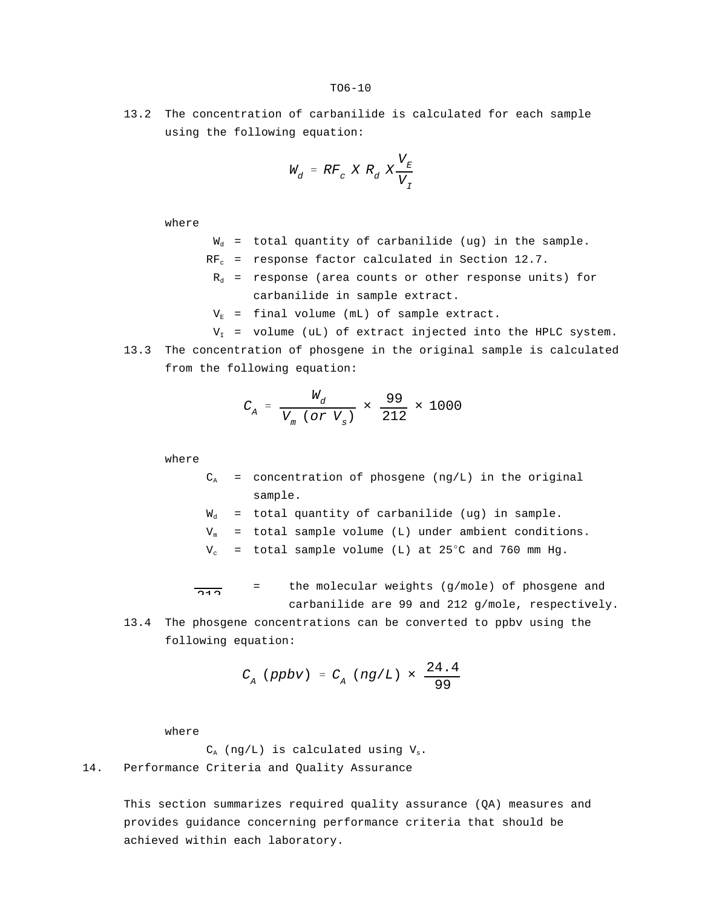13.2 The concentration of carbanilide is calculated for each sample using the following equation:

$$
W_d = RF_c X R_d X \frac{V_E}{V_I}
$$

where

- $W_d$  = total quantity of carbanilide (ug) in the sample.
- $RF_c$  = response factor calculated in Section 12.7.
- $R_d$  = response (area counts or other response units) for carbanilide in sample extract.
- $V_{E}$  = final volume (mL) of sample extract.
- $V<sub>T</sub>$  = volume (uL) of extract injected into the HPLC system.
- 13.3 The concentration of phosgene in the original sample is calculated from the following equation:

$$
C_{A} = \frac{W_{d}}{V_{m} (or V_{s})} \times \frac{99}{212} \times 1000
$$

where

- $C_A$  = concentration of phosgene (ng/L) in the original sample.
- $W_d$  = total quantity of carbanilide (ug) in sample.
- $V_m$  = total sample volume (L) under ambient conditions.
- $V_c$  = total sample volume (L) at 25°C and 760 mm Hg.

99  $\overline{212}$ = the molecular weights (g/mole) of phosgene and carbanilide are 99 and 212 g/mole, respectively.

13.4 The phosgene concentrations can be converted to ppbv using the following equation:

$$
C_{A} (ppbv) = C_{A} (ng/L) \times \frac{24.4}{99}
$$

where

 $C_A$  (ng/L) is calculated using  $V_s$ . 14. Performance Criteria and Quality Assurance

> This section summarizes required quality assurance (QA) measures and provides guidance concerning performance criteria that should be achieved within each laboratory.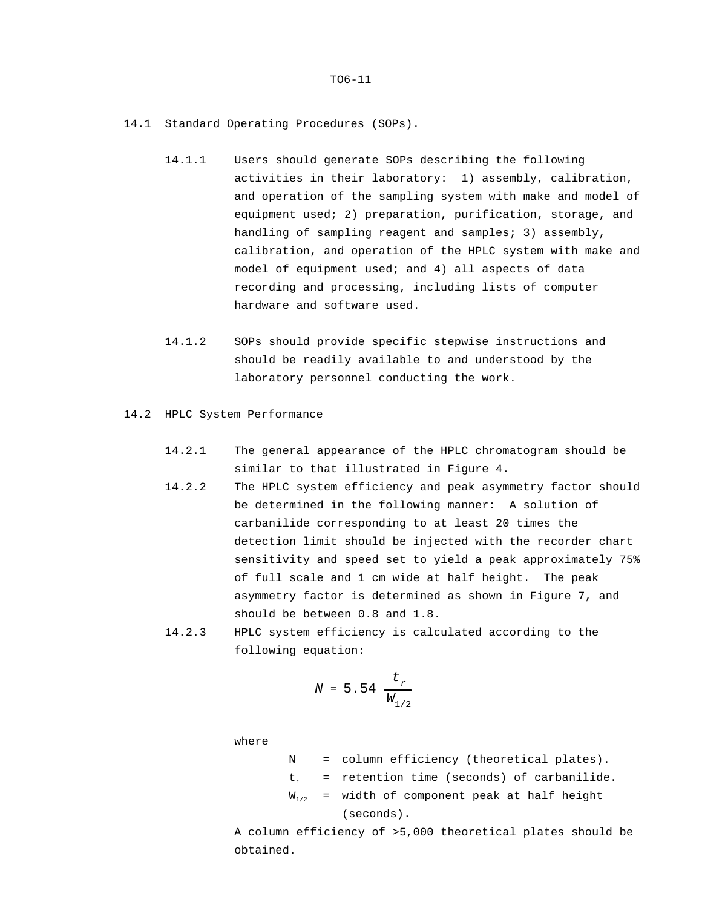- 14.1 Standard Operating Procedures (SOPs).
	- 14.1.1 Users should generate SOPs describing the following activities in their laboratory: 1) assembly, calibration, and operation of the sampling system with make and model of equipment used; 2) preparation, purification, storage, and handling of sampling reagent and samples; 3) assembly, calibration, and operation of the HPLC system with make and model of equipment used; and 4) all aspects of data recording and processing, including lists of computer hardware and software used.
	- 14.1.2 SOPs should provide specific stepwise instructions and should be readily available to and understood by the laboratory personnel conducting the work.
- 14.2 HPLC System Performance
	- 14.2.1 The general appearance of the HPLC chromatogram should be similar to that illustrated in Figure 4.
	- 14.2.2 The HPLC system efficiency and peak asymmetry factor should be determined in the following manner: A solution of carbanilide corresponding to at least 20 times the detection limit should be injected with the recorder chart sensitivity and speed set to yield a peak approximately 75% of full scale and 1 cm wide at half height. The peak asymmetry factor is determined as shown in Figure 7, and should be between 0.8 and 1.8.
	- 14.2.3 HPLC system efficiency is calculated according to the following equation:

*tr*

$$
N = 5.54 \frac{t_r}{W_{1/2}}
$$

where

N = column efficiency (theoretical plates).  $t_{r}$  = retention time (seconds) of carbanilide.  $W_{1/2}$  = width of component peak at half height (seconds).

A column efficiency of >5,000 theoretical plates should be obtained.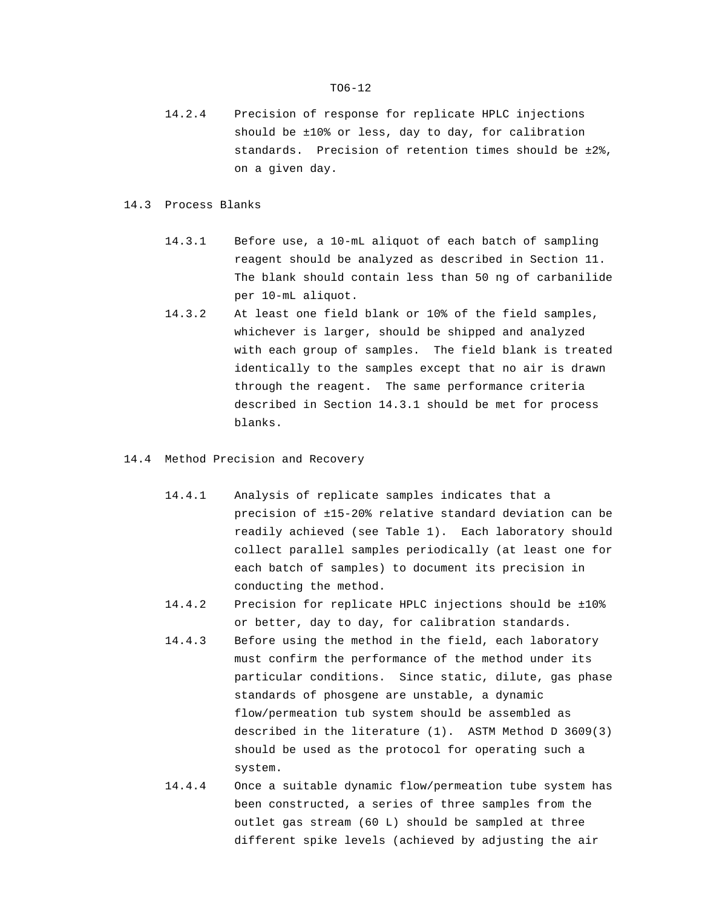14.2.4 Precision of response for replicate HPLC injections should be ±10% or less, day to day, for calibration standards. Precision of retention times should be ±2%, on a given day.

#### 14.3 Process Blanks

- 14.3.1 Before use, a 10-mL aliquot of each batch of sampling reagent should be analyzed as described in Section 11. The blank should contain less than 50 ng of carbanilide per 10-mL aliquot.
- 14.3.2 At least one field blank or 10% of the field samples, whichever is larger, should be shipped and analyzed with each group of samples. The field blank is treated identically to the samples except that no air is drawn through the reagent. The same performance criteria described in Section 14.3.1 should be met for process blanks.
- 14.4 Method Precision and Recovery
	- 14.4.1 Analysis of replicate samples indicates that a precision of ±15-20% relative standard deviation can be readily achieved (see Table 1). Each laboratory should collect parallel samples periodically (at least one for each batch of samples) to document its precision in conducting the method.
	- 14.4.2 Precision for replicate HPLC injections should be ±10% or better, day to day, for calibration standards.
	- 14.4.3 Before using the method in the field, each laboratory must confirm the performance of the method under its particular conditions. Since static, dilute, gas phase standards of phosgene are unstable, a dynamic flow/permeation tub system should be assembled as described in the literature (1). ASTM Method D 3609(3) should be used as the protocol for operating such a system.
	- 14.4.4 Once a suitable dynamic flow/permeation tube system has been constructed, a series of three samples from the outlet gas stream (60 L) should be sampled at three different spike levels (achieved by adjusting the air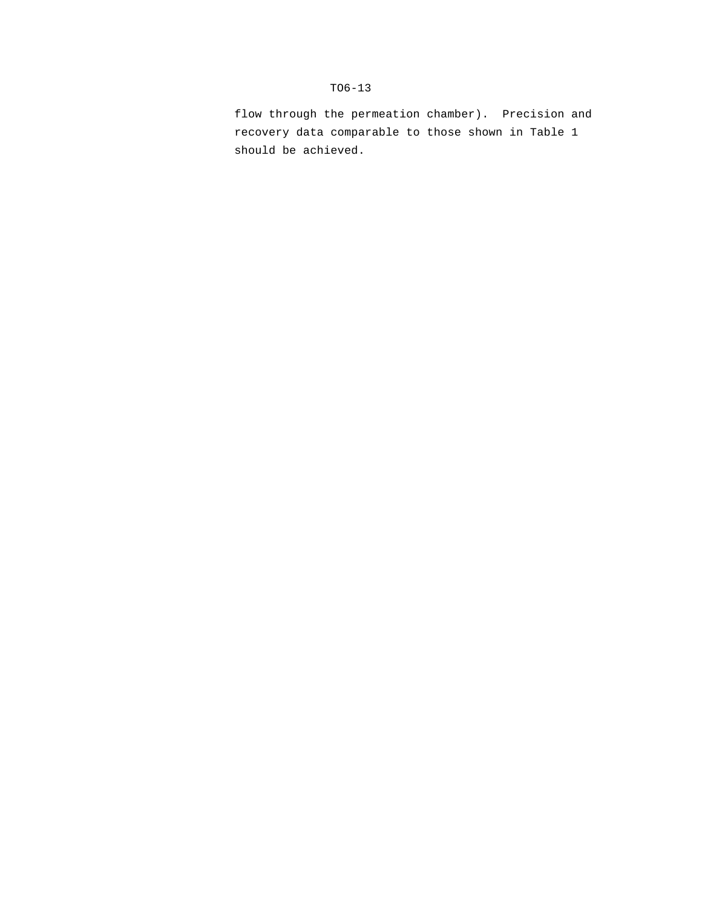flow through the permeation chamber). Precision and recovery data comparable to those shown in Table 1 should be achieved.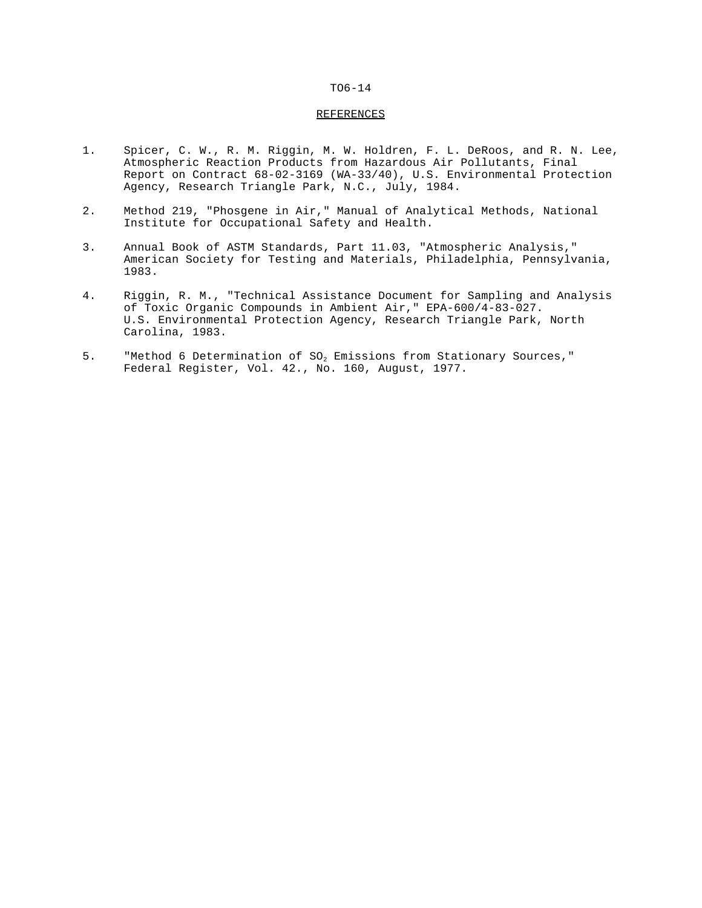#### REFERENCES

- 1. Spicer, C. W., R. M. Riggin, M. W. Holdren, F. L. DeRoos, and R. N. Lee, Atmospheric Reaction Products from Hazardous Air Pollutants, Final Report on Contract 68-02-3169 (WA-33/40), U.S. Environmental Protection Agency, Research Triangle Park, N.C., July, 1984.
- 2. Method 219, "Phosgene in Air," Manual of Analytical Methods, National Institute for Occupational Safety and Health.
- 3. Annual Book of ASTM Standards, Part 11.03, "Atmospheric Analysis," American Society for Testing and Materials, Philadelphia, Pennsylvania, 1983.
- 4. Riggin, R. M., "Technical Assistance Document for Sampling and Analysis of Toxic Organic Compounds in Ambient Air," EPA-600/4-83-027. U.S. Environmental Protection Agency, Research Triangle Park, North Carolina, 1983.
- 5. "Method 6 Determination of SO<sub>2</sub> Emissions from Stationary Sources," Federal Register, Vol. 42., No. 160, August, 1977.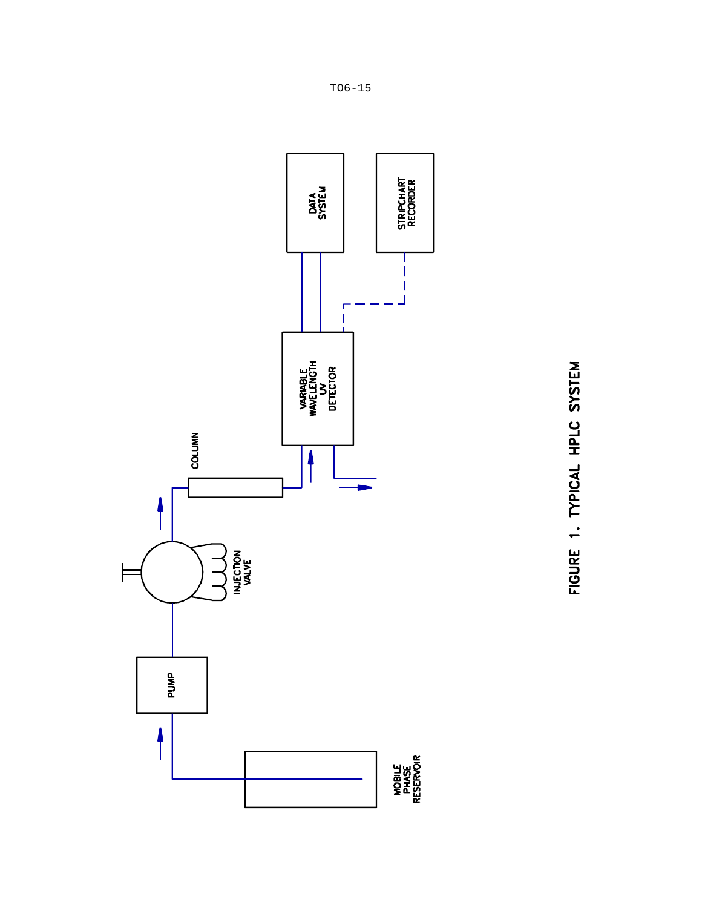

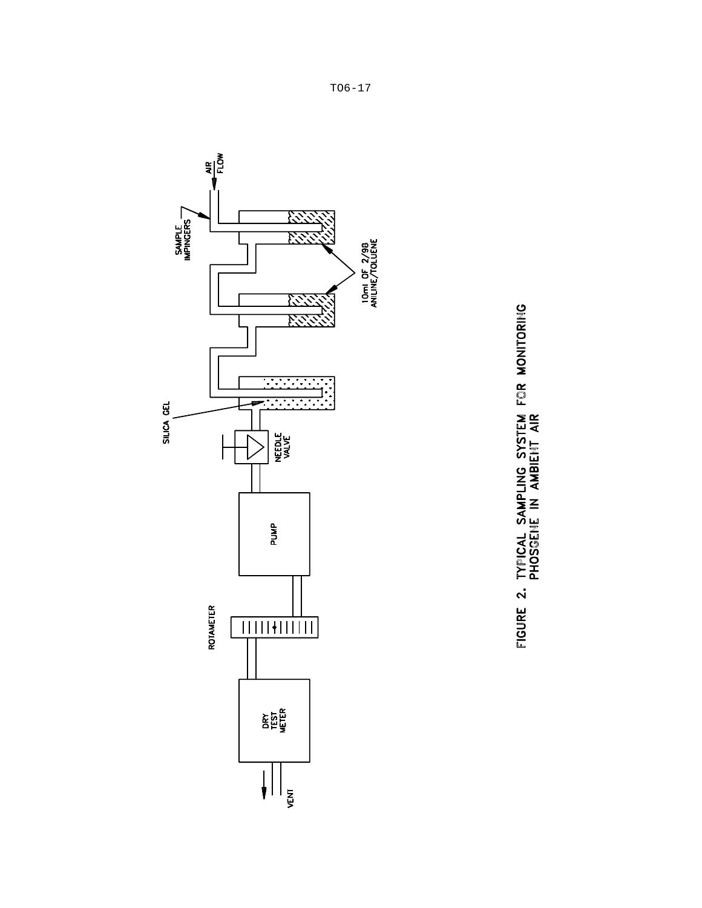

FIGURE 2. TYPICAL SAMPLING SYSTEM FOR MONITORING<br>PHOSGENE IN AMBIENT AIR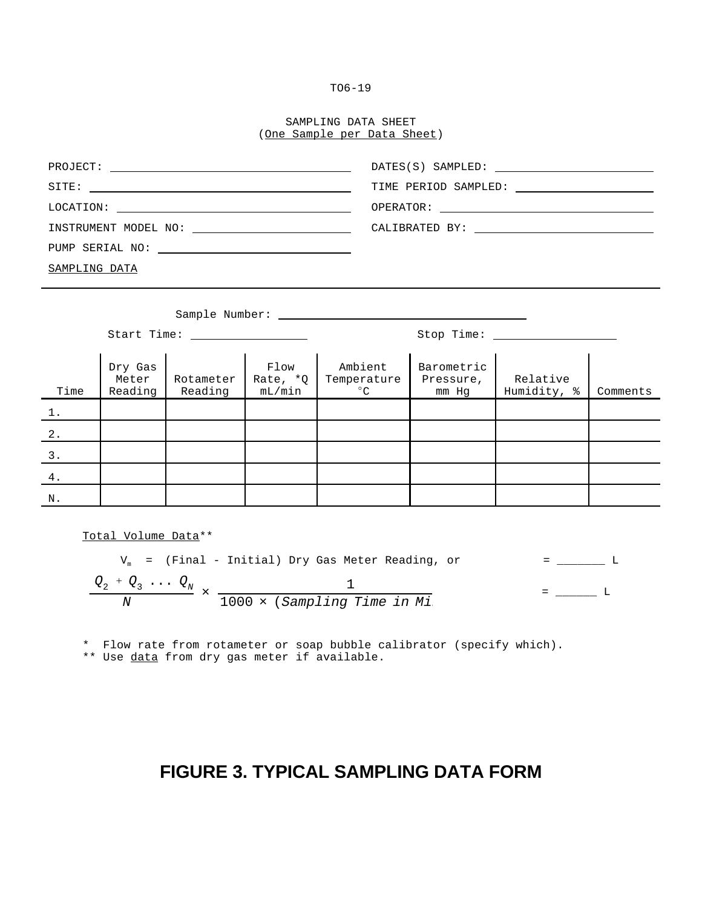# SAMPLING DATA SHEET (One Sample per Data Sheet)

|                      | TIME PERIOD SAMPLED: ________________________ |
|----------------------|-----------------------------------------------|
|                      |                                               |
| INSTRUMENT MODEL NO: |                                               |
|                      |                                               |
| SAMPLING DATA        |                                               |

|       | Sample Number:              |                      |                            |                                        |                                  |                         |          |
|-------|-----------------------------|----------------------|----------------------------|----------------------------------------|----------------------------------|-------------------------|----------|
|       | Start Time:                 |                      |                            | Stop Time: _______                     |                                  |                         |          |
| Time  | Dry Gas<br>Meter<br>Reading | Rotameter<br>Reading | Flow<br>Rate, *Q<br>mL/min | Ambient<br>Temperature<br>$^{\circ}$ C | Barometric<br>Pressure,<br>mm Hg | Relative<br>Humidity, % | Comments |
| $1$ . |                             |                      |                            |                                        |                                  |                         |          |
| $2$ . |                             |                      |                            |                                        |                                  |                         |          |
| 3.    |                             |                      |                            |                                        |                                  |                         |          |
| 4.    |                             |                      |                            |                                        |                                  |                         |          |
| N.    |                             |                      |                            |                                        |                                  |                         |          |

Total Volume Data\*\*

$$
V_m
$$
 = (Final - Initial) Dry Gas Meter Reading, or = \_\_\_\_\_\_\_\_\_\_\_ L  
\n
$$
\frac{Q_2 + Q_3 \cdots Q_N}{N} \times \frac{1}{1000 \times (Sampling Time in Mi)}
$$
\n= \_\_\_\_\_\_\_\_\_\_\_ L

\* Flow rate from rotameter or soap bubble calibrator (specify which).

\*\* Use data from dry gas meter if available.

# **FIGURE 3. TYPICAL SAMPLING DATA FORM**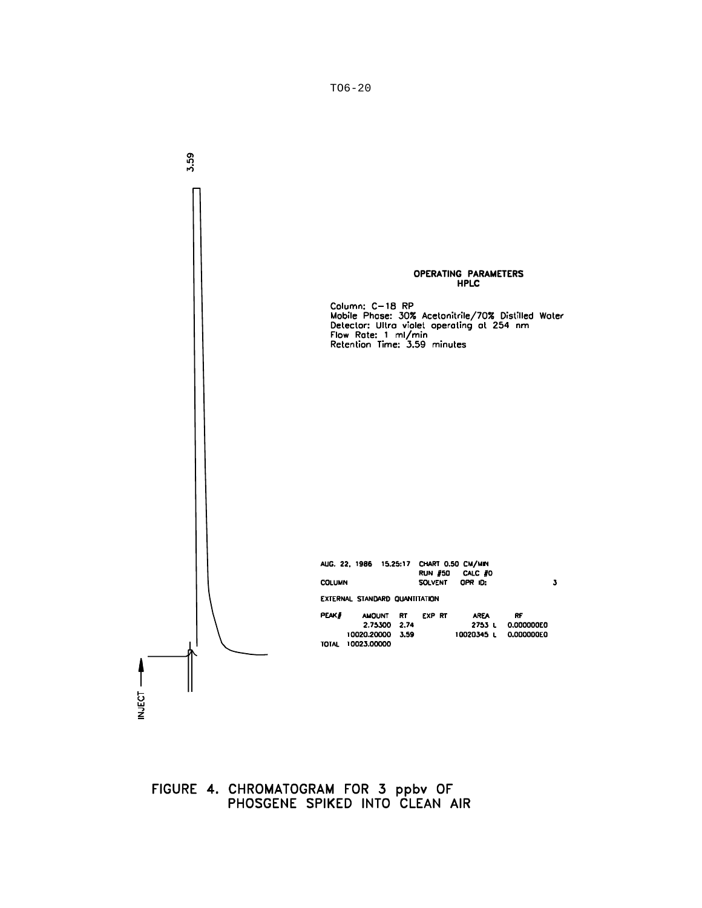

FIGURE 4. CHROMATOGRAM FOR 3 ppbv OF<br>PHOSGENE SPIKED INTO CLEAN AIR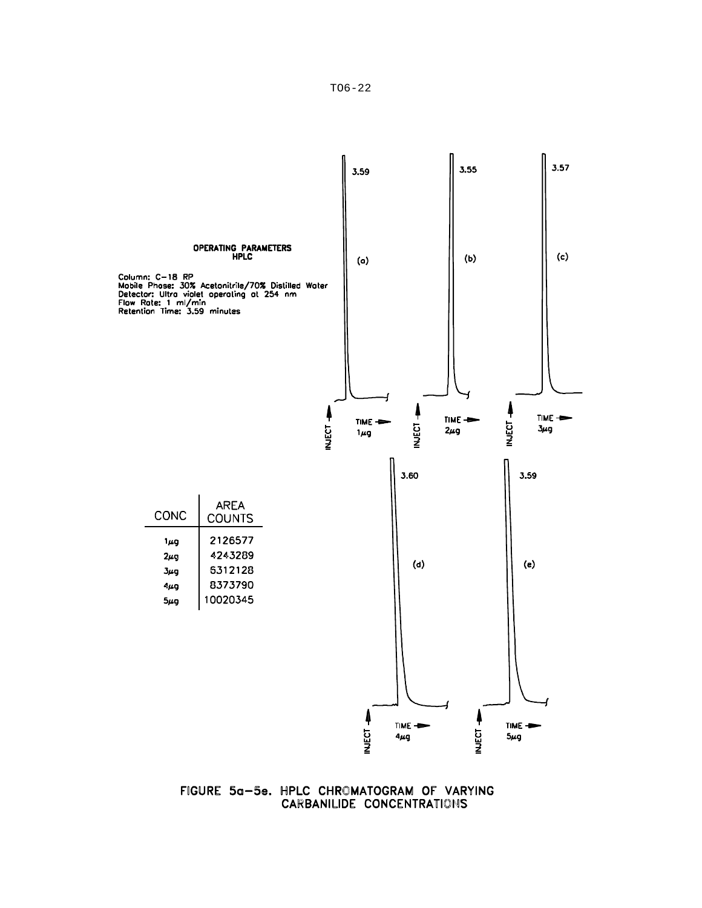

FIGURE 5a-5e. HPLC CHROMATOGRAM OF VARYING<br>CARBANILIDE CONCENTRATIONS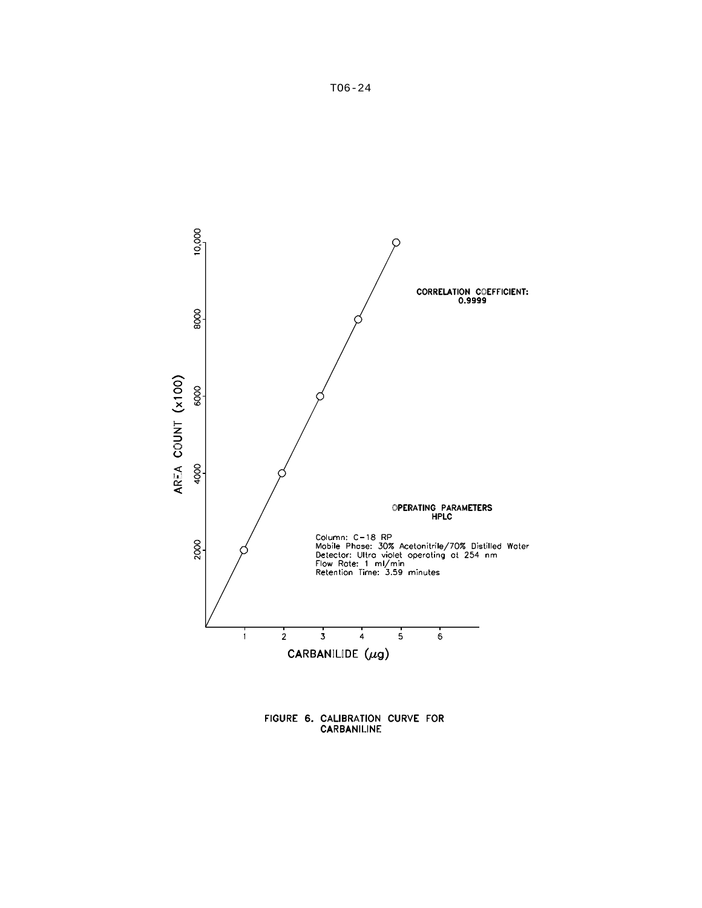

FIGURE 6. CALIBRATION CURVE FOR<br>CARBANILINE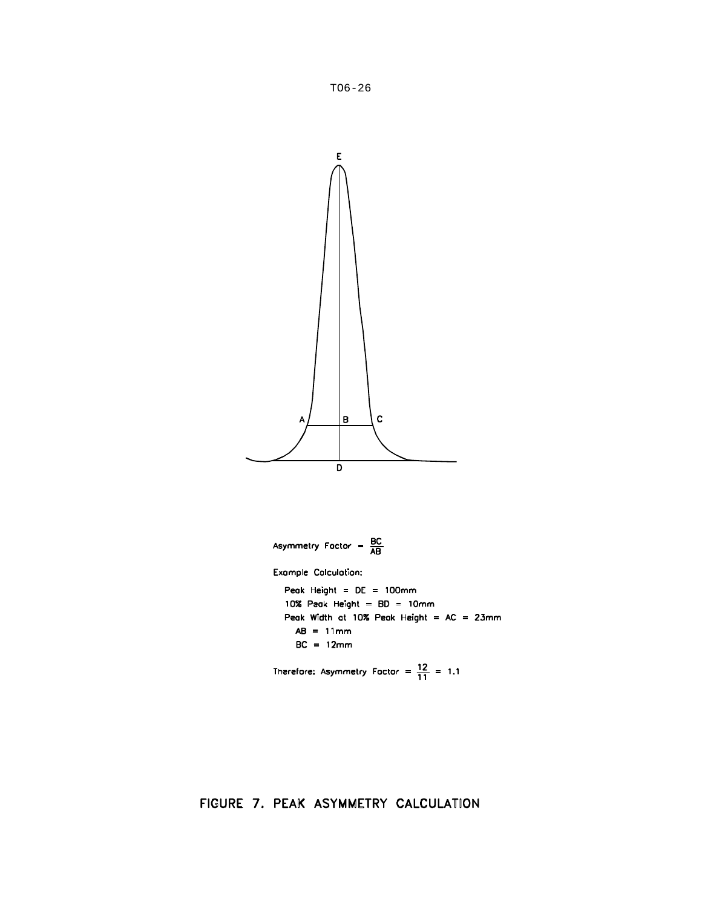

$$
BC = 12mm
$$

Therefore: Asymmetry Factor =  $\frac{12}{11}$  = 1.1

FIGURE 7. PEAK ASYMMETRY CALCULATION